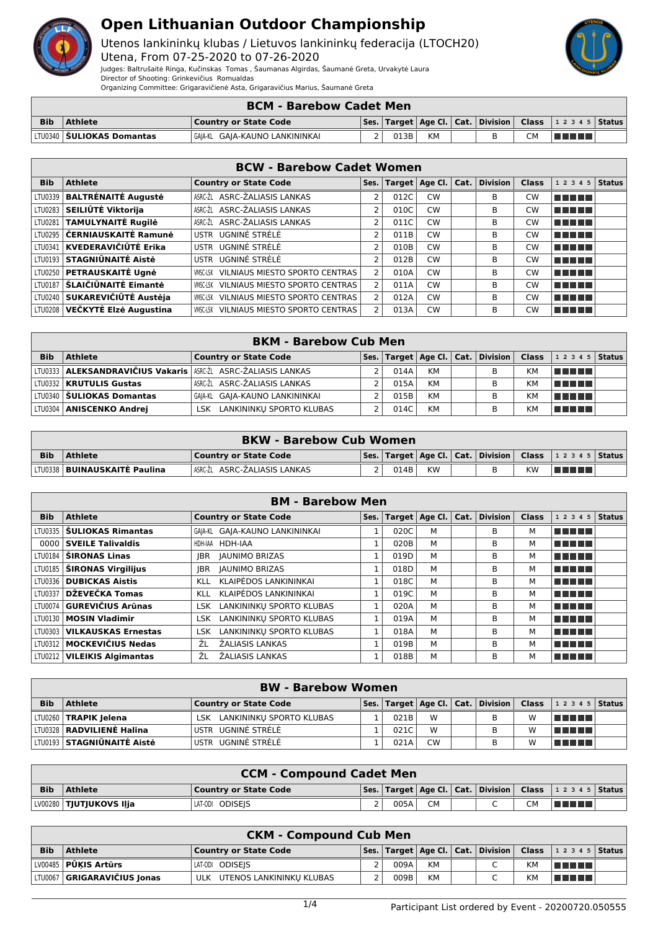

Utenos lankininkų klubas / Lietuvos lankininkų federacija (LTOCH20)

Utena, From 07-25-2020 to 07-26-2020 Judges: Baltrušaitė Ringa, Kučinskas Tomas , Šaumanas Algirdas, Šaumanė Greta, Urvakytė Laura Director of Shooting: Grinkevičius Romualdas

Organizing Committee: Grigaravičienė Asta, Grigaravičius Marius, Šaumanė Greta

|            | <b>BCM - Barebow Cadet Men</b> |                                |  |      |           |  |  |  |                                                                        |  |  |  |
|------------|--------------------------------|--------------------------------|--|------|-----------|--|--|--|------------------------------------------------------------------------|--|--|--|
| <b>Bib</b> | <b>Athlete</b>                 | Country or State Code          |  |      |           |  |  |  | Ses.   Target   Age Cl.   Cat.   Division   Class   1 2 3 4 5   Status |  |  |  |
|            | LTU0340   SULIOKAS Domantas    | GA A-KL GA A-KAUNO LANKININKAI |  | 013B | <b>KM</b> |  |  |  | TIN TIN                                                                |  |  |  |

|            | <b>BCW - Barebow Cadet Women</b> |                                                   |   |      |           |  |                                           |              |                 |               |  |  |  |
|------------|----------------------------------|---------------------------------------------------|---|------|-----------|--|-------------------------------------------|--------------|-----------------|---------------|--|--|--|
| <b>Bib</b> | <b>Athlete</b>                   | <b>Country or State Code</b>                      |   |      |           |  | Ses.   Target   Age Cl.   Cat.   Division | <b>Class</b> | 1 2 3 4 5       | <b>Status</b> |  |  |  |
|            | LTU0339   BALTRĖNAITĖ Augustė    | ASRC-ŽL ASRC-ŽALIASIS LANKAS                      |   | 012C | <b>CW</b> |  | B                                         | <b>CW</b>    | <b>THE REAL</b> |               |  |  |  |
|            | LTU0283 SEILIŪTĖ Viktorija       | ASRC-ŽL ASRC-ŽALIASIS LANKAS                      | 2 | 010C | <b>CW</b> |  | B                                         | <b>CW</b>    | n na mar        |               |  |  |  |
|            | LTU0281 TAMULYNAITĖ Rugilė       | ASRC-ŽL ASRC-ŽALIASIS LANKAS                      | 2 | 011C | <b>CW</b> |  | B                                         | <b>CW</b>    | a da birni      |               |  |  |  |
|            | LTU0295   ČERNIAUSKAITĖ Ramunė   | USTR UGNINĖ STRĖLĖ                                | 2 | 011B | <b>CW</b> |  | B                                         | <b>CW</b>    | n na mar        |               |  |  |  |
|            | LTU0341   KVEDERAVIČIŪTĖ Erika   | USTR UGNINĖ STRĖLĖ                                | 2 | 010B | <b>CW</b> |  | B                                         | <b>CW</b>    | n na mar        |               |  |  |  |
|            | LTU0193 STAGNIŪNAITĖ Aistė       | USTR UGNINĖ STRĖLĖ                                | 2 | 012B | <b>CW</b> |  | B                                         | <b>CW</b>    | ma mata         |               |  |  |  |
|            | LTU0250   PETRAUSKAITĖ Ugnė      | VILNIAUS MIESTO SPORTO CENTRAS<br>VMSC-LSK        | 2 | 010A | <b>CW</b> |  | B                                         | <b>CW</b>    | TI TITLE        |               |  |  |  |
|            | LTU0187 SLAIČIŪNAITĖ Eimantė     | VILNIAUS MIESTO SPORTO CENTRAS<br><b>VMSC-LSK</b> |   | 011A | <b>CW</b> |  | B                                         | <b>CW</b>    | TIT FILL        |               |  |  |  |
|            | LTU0240 SUKAREVIČIŪTĖ Austėja    | VILNIAUS MIESTO SPORTO CENTRAS<br><b>VMSC-LSK</b> |   | 012A | <b>CW</b> |  | B                                         | <b>CW</b>    | T FITTER        |               |  |  |  |
|            | LTU0208 VEČKYTĖ Elzė Augustina   | VILNIAUS MIESTO SPORTO CENTRAS<br>VMSC-LSK        |   | 013A | <b>CW</b> |  | B                                         | <b>CW</b>    | TITI TITI       |               |  |  |  |

|            |                                                                 | <b>BKM - Barebow Cub Men</b>           |       |           |                                                                 |    |                           |  |
|------------|-----------------------------------------------------------------|----------------------------------------|-------|-----------|-----------------------------------------------------------------|----|---------------------------|--|
| <b>Bib</b> | <b>Athlete</b>                                                  | <b>Country or State Code</b>           |       |           | $ $ Ses. $ $ Target $ $ Age Cl. $ $ Cat. $ $ Division $ $ Class |    | 1 2 3 4 5   <b>Status</b> |  |
|            | LTU0333 ALEKSANDRAVIČIUS Vakaris   ASRC-ŽI ASRC-ŽALIASIS LANKAS |                                        | 014A  | КM        | B                                                               | KM | l Timo Timo               |  |
|            | LTU0332   KRUTULIS Gustas                                       | ASRC-ŽL ASRC-ŽALIASIS LANKAS           | 015A  | КM        | в                                                               | KM | l Timo Timo               |  |
|            | LTU0340 <b>SULIOKAS Domantas</b>                                | GAIA-KL GAIA-KAUNO LANKININKAI         | 015B, | <b>KM</b> | В                                                               | KM | l Timo Timo               |  |
|            | LTU0304   ANISCENKO Andrei                                      | LANKININKU SPORTO KLUBAS<br><b>LSK</b> | 014C  | <b>KM</b> | B                                                               | KM | TI FIFT                   |  |

|            |                                       | <b>BKW - Barebow Cub Women</b> |      |           |   |    |                                                                        |  |
|------------|---------------------------------------|--------------------------------|------|-----------|---|----|------------------------------------------------------------------------|--|
| <b>Bib</b> | <b>Athlete</b>                        | Country or State Code          |      |           |   |    | Ses.   Target   Age Cl.   Cat.   Division   Class   1 2 3 4 5   Status |  |
|            | LTU0338   <b>BUINAUSKAITĖ Paulina</b> | ∣ASRC-ŽL ASRC-ŽALIASIS LANKAS  | 014B | <b>KW</b> | R | ΚW | <u>in manal</u>                                                        |  |

|            |                               | <b>BM - Barebow Men</b>                |      |      |                         |          |              |           |        |
|------------|-------------------------------|----------------------------------------|------|------|-------------------------|----------|--------------|-----------|--------|
| <b>Bib</b> | <b>Athlete</b>                | <b>Country or State Code</b>           | Ses. |      | Target   Age Cl.   Cat. | Division | <b>Class</b> | 1 2 3 4 5 | Status |
|            | LTU0335   ŠULIOKAS Rimantas   | GAIA-KL GAIA-KAUNO LANKININKAI         |      | 020C | М                       | B        | м            | n din Tim |        |
|            | 0000 SVEILE Talivaldis        | HDH-IAA HDH-IAA                        |      | 020B | М                       | B        | м            | T F F F F |        |
|            | LTU0184   ŠIRONAS Linas       | <b>JAUNIMO BRIZAS</b><br>IBR.          |      | 019D | М                       | B        | м            | TITI TITI |        |
|            | LTU0185   ŠIRONAS Virgilijus  | <b>JAUNIMO BRIZAS</b><br><b>IBR</b>    |      | 018D | M                       | B        | м            | n na mata |        |
|            | LTU0336   DUBICKAS Aistis     | KLAIPĖDOS LANKININKAI<br>KLL.          |      | 018C | м                       | В        | м            | n din bin |        |
|            | LTU0337 DŽEVEČKA Tomas        | KLAIPĖDOS LANKININKAI<br>KLL           |      | 019C | М                       | B        | м            | T FITTER  |        |
|            | LTU0074 GUREVIČIUS Arūnas     | LANKININKU SPORTO KLUBAS<br>LSK.       |      | 020A | М                       | B        | м            | T FIFTI T |        |
|            | LTU0130   MOSIN Vladimir      | LANKININKU SPORTO KLUBAS<br><b>LSK</b> |      | 019A | М                       | B        | м            | n na mata |        |
| LTU0303    | <b>VILKAUSKAS Ernestas</b>    | LANKININKU SPORTO KLUBAS<br><b>LSK</b> |      | 018A | м                       | B        | м            | n na ma   |        |
|            | LTU0312   MOCKEVIČIUS Nedas   | ŽALIASIS LANKAS<br>ŹL                  |      | 019B | М                       | В        | м            | n na ma   |        |
|            | LTU0212   VILEIKIS Algimantas | <b>ŽALIASIS LANKAS</b><br>ŹL           |      | 018B | М                       | В        | м            | T FIFTI T |        |

|            | <b>BW</b> - Barebow Women         |                              |  |      |           |  |   |   |                                                                        |  |  |  |
|------------|-----------------------------------|------------------------------|--|------|-----------|--|---|---|------------------------------------------------------------------------|--|--|--|
| <b>Bib</b> | <b>Athlete</b>                    | Country or State Code        |  |      |           |  |   |   | Ses.   Target   Age Cl.   Cat.   Division   Class   1 2 3 4 5   Status |  |  |  |
|            | LTU0260   TRAPIK Jelena           | LSK LANKININKU SPORTO KLUBAS |  | 021B | W         |  | в | W | <u>i sa shekara</u>                                                    |  |  |  |
|            | LTV0328   RADVILIENĖ Halina       | USTR UGNINĖ STRĖLĖ           |  | 021C | W         |  | в | W | ma mata                                                                |  |  |  |
|            | LTU0193 <b>STAGNIŪNAITĖ Aistė</b> | USTR UGNINĖ STRĖLĖ           |  | 021A | <b>CW</b> |  |   | W | T FI FI FI                                                             |  |  |  |

|            | <b>CCM - Compound Cadet Men</b> |                       |                |      |           |  |  |           |                                                                        |  |  |
|------------|---------------------------------|-----------------------|----------------|------|-----------|--|--|-----------|------------------------------------------------------------------------|--|--|
| <b>Bib</b> | Athlete                         | Country or State Code |                |      |           |  |  |           | Ses.   Target   Age Cl.   Cat.   Division   Class   1 2 3 4 5   Status |  |  |
|            | LV00280   TJUTJUKOVS Ilja       | LAT-ODI ODISEIS       | $\overline{2}$ | 005A | <b>CM</b> |  |  | <b>CM</b> | l se se se s                                                           |  |  |

|            | <b>CKM - Compound Cub Ment</b>       |                              |  |      |           |  |                          |           |                                                                        |  |  |  |
|------------|--------------------------------------|------------------------------|--|------|-----------|--|--------------------------|-----------|------------------------------------------------------------------------|--|--|--|
| <b>Bib</b> | <b>Athlete</b>                       | <b>Country or State Code</b> |  |      |           |  |                          |           | Ses.   Target   Age Cl.   Cat.   Division   Class   1 2 3 4 5   Status |  |  |  |
|            | LV00485 <b>PŪKIS Artūrs</b>          | LAT-ODI ODISEIS              |  | 009A | <b>KM</b> |  | $\overline{\phantom{0}}$ | <b>KM</b> | TE E E E                                                               |  |  |  |
|            | LTU0067 <b>  GRIGARAVIČIUS Jonas</b> | ULK UTENOS LANKININKU KLUBAS |  | 009B | <b>KM</b> |  |                          | KM        | l Timor                                                                |  |  |  |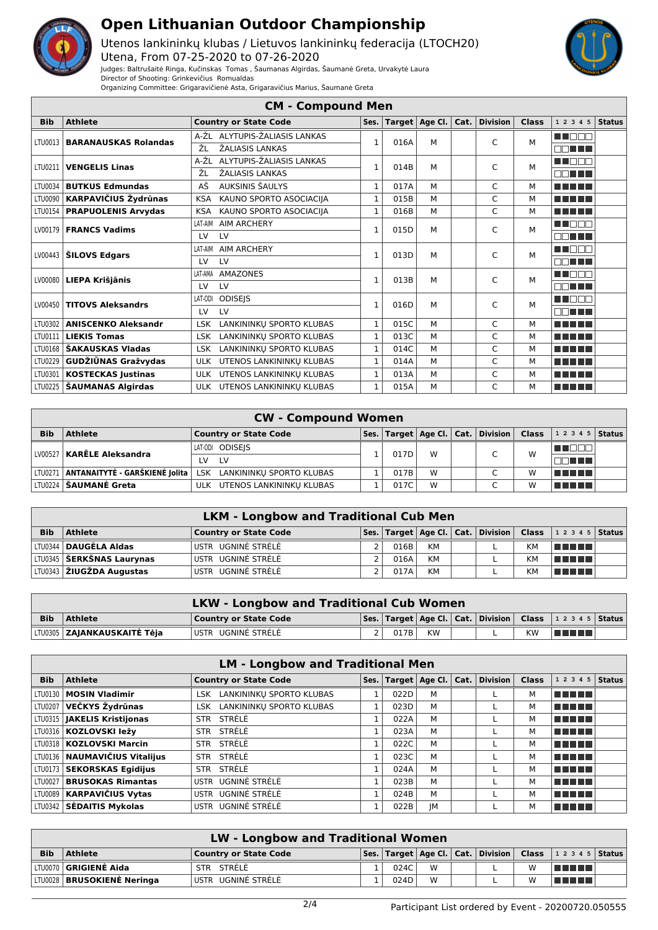

Judges: Baltrušaitė Ringa, Kučinskas Tomas , Šaumanas Algirdas, Šaumanė Greta, Urvakytė Laura

Utenos lankininkų klubas / Lietuvos lankininkų federacija (LTOCH20) Utena, From 07-25-2020 to 07-26-2020



Director of Shooting: Grinkevičius Romualdas Organizing Committee: Grigaravičienė Asta, Grigaravičius Marius, Šaumanė Greta

|            |                             | <b>CM - Compound Men</b>               |              |      |                        |                      |                 |              |                       |               |
|------------|-----------------------------|----------------------------------------|--------------|------|------------------------|----------------------|-----------------|--------------|-----------------------|---------------|
| <b>Bib</b> | <b>Athlete</b>              | <b>Country or State Code</b>           | Ses.         |      | Target $ $ Age Cl. $ $ | $\vert$ Cat. $\vert$ | <b>Division</b> | <b>Class</b> | 12345                 | <b>Status</b> |
| LTU0013    | <b>BARANAUSKAS Rolandas</b> | A-ŽL ALYTUPIS-ŽALIASIS LANKAS          | $\mathbf{1}$ | 016A | м                      |                      | C               | M            | MA MARIT              |               |
|            |                             | ŽL<br>ŽALIASIS LANKAS                  |              |      |                        |                      |                 |              | nn i<br>a port        |               |
| LTU0211    | <b>VENGELIS Linas</b>       | ALYTUPIS-ŽALIASIS LANKAS<br>A-ŽI       | $\mathbf{1}$ | 014B | м                      |                      | C               | М            | n nan                 |               |
|            |                             | ŽALIASIS LANKAS<br>ŽL                  |              |      |                        |                      |                 |              | MA HIT                |               |
| LTU0034    | <b>BUTKUS Edmundas</b>      | AŠ<br>AUKSINIS ŠAULYS                  | $\mathbf{1}$ | 017A | М                      |                      | C               | м            | n din bir             |               |
| LTU0090    | <b>KARPAVIČIUS Žydrūnas</b> | KAUNO SPORTO ASOCIACIJA<br><b>KSA</b>  | $\mathbf{1}$ | 015B | М                      |                      | Ċ               | М            | TI TITLE<br>1 H H     |               |
| LTU0154    | <b>PRAPUOLENIS Arvydas</b>  | KAUNO SPORTO ASOCIACIJA<br><b>KSA</b>  | $\mathbf{1}$ | 016B | М                      |                      | C               | M            | ma matsa              |               |
| LV00179    | <b>FRANCS Vadims</b>        | LAT-AIM<br><b>AIM ARCHERY</b>          | $\mathbf{1}$ | 015D | М                      |                      | C               | M            | n nan                 |               |
|            |                             | LV<br>LV                               |              |      |                        |                      |                 |              | nn i<br>T T           |               |
| LV00443    | <b>ŠILOVS Edgars</b>        | <b>AIM ARCHERY</b><br>LAT-AIM          | $\mathbf{1}$ | 013D | М                      |                      | C               | м            | <b>RICHTING</b>       |               |
|            |                             | LV<br>LV                               |              |      |                        |                      |                 |              | nn an L               |               |
| LV00080    | LIEPA Krišjānis             | LAT-AMA<br><b>AMAZONES</b>             | $\mathbf{1}$ | 013B | М                      |                      | C               | м            | <u>o El Fifor</u>     |               |
|            |                             | LV<br>LV                               |              |      |                        |                      |                 |              | nn ni                 |               |
| LV00450    | <b>TITOVS Aleksandrs</b>    | <b>ODISEJS</b><br>LAT-ODI              | $\mathbf{1}$ | 016D | м                      |                      | C               | M            | UN DE L               |               |
|            |                             | LV<br>LV                               |              |      |                        |                      |                 |              | <b>FIFTE THE</b>      |               |
| LTU0302    | <b>ANISCENKO Aleksandr</b>  | LANKININKŲ SPORTO KLUBAS<br><b>LSK</b> | $\mathbf{1}$ | 015C | М                      |                      | C               | М            | T Tim<br>a katika Ing |               |
| LTU0111    | <b>LIEKIS Tomas</b>         | LANKININKŲ SPORTO KLUBAS<br><b>LSK</b> | $\mathbf{1}$ | 013C | М                      |                      | C               | м            |                       |               |
| LTU0168    | ŠAKAUSKAS Vladas            | LANKININKŲ SPORTO KLUBAS<br><b>LSK</b> | $\mathbf{1}$ | 014C | М                      |                      | C               | М            | n din bir             |               |
| LTU0229    | GUDŽIŪNAS Gražvydas         | UTENOS LANKININKU KLUBAS<br><b>ULK</b> | $\mathbf{1}$ | 014A | М                      |                      | C               | М            | T FITTER              |               |
| LTU0301    | <b>KOSTECKAS Justinas</b>   | UTENOS LANKININKŲ KLUBAS<br><b>ULK</b> | 1            | 013A | М                      |                      | C               | M            | .                     |               |
| LTU0225    | <b>ŠAUMANAS Algirdas</b>    | ULK UTENOS LANKININKU KLUBAS           | $\mathbf{1}$ | 015A | М                      |                      | Ċ               | м            | an an a<br>. .        |               |

|            |                                          | <b>CW - Compound Women</b>             |      |   |   |   |                                                                      |  |
|------------|------------------------------------------|----------------------------------------|------|---|---|---|----------------------------------------------------------------------|--|
| <b>Bib</b> | <b>Athlete</b>                           | <b>Country or State Code</b>           |      |   |   |   | Ses. Target   Age Cl.   Cat.   Division   Class   1 2 3 4 5   Status |  |
|            | LV00527   KARĒLE Aleksandra              | LAT-ODI ODISEIS                        | 017D | W | ┌ | W | <u> I Libit </u>                                                     |  |
|            |                                          | <b>LV</b><br>LV                        |      |   |   |   | TE ELLE                                                              |  |
|            | LTU0271   ANTANAITYTĖ - GARŠKIENĖ Jolita | LSK LANKININKU SPORTO KLUBAS           | 017B | W |   | w | TE E E E                                                             |  |
|            | LTU0224 <b>  ŠAUMANĖ Greta</b>           | UTENOS LANKININKU KLUBAS<br><b>ULK</b> | 017C | W | ┌ | w | uman k                                                               |  |

|            | <b>LKM - Longbow and Traditional Cub Men</b> |                              |  |      |           |  |  |           |                                                                               |  |  |  |  |
|------------|----------------------------------------------|------------------------------|--|------|-----------|--|--|-----------|-------------------------------------------------------------------------------|--|--|--|--|
| <b>Bib</b> | <b>Athlete</b>                               | <b>Country or State Code</b> |  |      |           |  |  |           | $\mid$ Ses.   Target   Age Cl.   Cat.   Division   Class   1 2 3 4 5   Status |  |  |  |  |
|            | LTU0344 DAUGĖLA Aldas                        | USTR UGNINĖ STRĖLĖ           |  | 016B | КM        |  |  | <b>KM</b> | l manarat                                                                     |  |  |  |  |
|            | LTU0345   ŠERKŠNAS Laurynas                  | USTR UGNINĖ STRĖLĖ           |  | 016A | КM        |  |  | KM        | l manara                                                                      |  |  |  |  |
|            | LTU0343 ŽIUGŽDA Augustas                     | USTR UGNINĖ STRĖLĖ           |  | 017A | <b>KM</b> |  |  | <b>KM</b> | TELEL                                                                         |  |  |  |  |

|            | <b>LKW - Longbow and Traditional Cub Women</b> |                              |  |      |           |  |  |           |                                                                        |  |  |  |
|------------|------------------------------------------------|------------------------------|--|------|-----------|--|--|-----------|------------------------------------------------------------------------|--|--|--|
| <b>Bib</b> | Athlete                                        | <b>Country or State Code</b> |  |      |           |  |  |           | Ses.   Target   Age Cl.   Cat.   Division   Class   1 2 3 4 5   Status |  |  |  |
|            | LTU0305 <b>ZAIANKAUSKAITĖ Tėja</b>             | <b>LUSTR UGNINĖ STRĖLĖ</b>   |  | 017B | <b>KW</b> |  |  | <b>KW</b> | l a martin 1                                                           |  |  |  |

| <b>LM - Longbow and Traditional Men</b> |                                 |                                 |      |      |    |  |                                    |              |            |               |
|-----------------------------------------|---------------------------------|---------------------------------|------|------|----|--|------------------------------------|--------------|------------|---------------|
| <b>Bib</b>                              | <b>Athlete</b>                  | <b>Country or State Code</b>    | Ses. |      |    |  | Target   Age Cl.   Cat.   Division | <b>Class</b> | 1 2 3 4 5  | <b>Status</b> |
|                                         | LTU0130   MOSIN Vladimir        | LANKININKU SPORTO KLUBAS<br>LSK |      | 022D | М  |  |                                    | м            | T FIFT T   |               |
|                                         | LTU0207 VEČKYS Žydrūnas         | LSK LANKININKU SPORTO KLUBAS    |      | 023D | M  |  |                                    | м            | T FIFT T   |               |
|                                         | LTU0315   JAKELIS Kristijonas   | STRĖLĖ<br><b>STR</b>            |      | 022A | M  |  |                                    | м            | T FI FI FI |               |
|                                         | LTU0316   KOZLOVSKI Iežy        | STR STRELE                      |      | 023A | M  |  |                                    | м            | ma mata    |               |
|                                         | LTU0318   KOZLOVSKI Marcin      | STR STRELE                      |      | 022C | M  |  |                                    | м            | n din bir  |               |
|                                         | LTU0136   NAUMAVIČIUS Vitalijus | STR STRELE                      |      | 023C | M  |  |                                    | м            | n na mata  |               |
|                                         | LTU0173   SEKORSKAS Egidijus    | STR STRELE                      |      | 024A | M  |  |                                    | м            | n na mata  |               |
|                                         | LTU0027   BRUSOKAS Rimantas     | USTR UGNINĖ STRĖLĖ              |      | 023B | M  |  |                                    | м            | a shekara  |               |
|                                         | LTU0089   KARPAVIČIUS Vytas     | USTR UGNINĖ STRĖLĖ              |      | 024B | M  |  |                                    | м            | a shekara  |               |
|                                         | LTU0342 <b>SĖDAITIS Mykolas</b> | USTR UGNINĖ STRĖLĖ              |      | 022B | JМ |  |                                    | м            | u na ma    |               |

|            | <b>LW - Longbow and Traditional Women</b> |                              |  |      |   |  |  |   |                                                                                                                          |  |  |
|------------|-------------------------------------------|------------------------------|--|------|---|--|--|---|--------------------------------------------------------------------------------------------------------------------------|--|--|
| <b>Bib</b> | Athlete                                   | <b>Country or State Code</b> |  |      |   |  |  |   | $ \mathsf{Ses.} \mathsf{Target} \mathsf{Age}\mathsf{Cl.} \mathsf{Cat.} \mathsf{Division} \mathsf{Class} \mathsf{12345} $ |  |  |
|            | LTU0070 <b>  GRIGIENĖ Aida</b>            | STR STRELE                   |  | 024C | W |  |  | W | n na mat                                                                                                                 |  |  |
|            | LTU0028   BRUSOKIENĖ Neringa              | USTR UGNINĖ STRĖLĖ           |  | 024D | W |  |  | w | TELEL                                                                                                                    |  |  |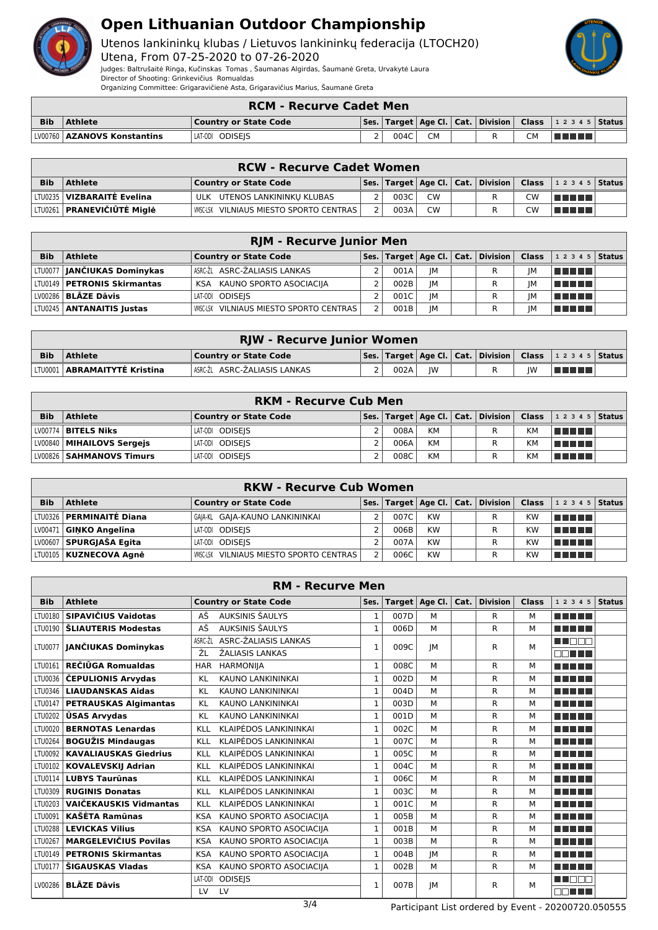

Utenos lankininkų klubas / Lietuvos lankininkų federacija (LTOCH20)

Utena, From 07-25-2020 to 07-26-2020 Judges: Baltrušaitė Ringa, Kučinskas Tomas , Šaumanas Algirdas, Šaumanė Greta, Urvakytė Laura Director of Shooting: Grinkevičius Romualdas

Organizing Committee: Grigaravičienė Asta, Grigaravičius Marius, Šaumanė Greta

|            | <b>RCM - Recurve Cadet Men</b> |                              |  |      |  |  |  |     |                                                                              |  |
|------------|--------------------------------|------------------------------|--|------|--|--|--|-----|------------------------------------------------------------------------------|--|
| <b>Bib</b> | <b>Athlete</b>                 | <b>Country or State Code</b> |  |      |  |  |  |     | $\vert$ Ses. Target   Age Cl.   Cat.   Division   Class   1 2 3 4 5   Status |  |
|            | LV00760   AZANOVS Konstantins  | LAT-ODI ODISEIS              |  | 004C |  |  |  | CM. | TI TITLE                                                                     |  |

|            | <b>RCW - Recurve Cadet Women</b>    |                                                    |  |      |           |  |   |     |                                                                                                             |  |  |
|------------|-------------------------------------|----------------------------------------------------|--|------|-----------|--|---|-----|-------------------------------------------------------------------------------------------------------------|--|--|
| <b>Bib</b> | <b>Athlete</b>                      | <b>Country or State Code</b>                       |  |      |           |  |   |     | $ \textsf{Ses.} \textsf{Target} $ Age Cl. $ \textsf{Cat.} \textsf{Division} \textsf{Class} \textsf{12345} $ |  |  |
|            | LTU0235   <b>VIZBARAITĖ Evelina</b> | ULK UTENOS LANKININKU KLUBAS                       |  | 003C | <b>CW</b> |  | R | CW. | <u>i sanatsi</u>                                                                                            |  |  |
|            | LTU0261 PRANEVIČIŪTĖ Miglė          | <b>I VMSC-LSK VILNIAUS MIESTO SPORTO CENTRAS I</b> |  | 003A | <b>CW</b> |  |   | CW  | l se se se s                                                                                                |  |  |

|            | <b>RJM - Recurve Junior Men</b>            |                                                |  |      |    |  |                                                   |    |                                                                                                               |  |  |
|------------|--------------------------------------------|------------------------------------------------|--|------|----|--|---------------------------------------------------|----|---------------------------------------------------------------------------------------------------------------|--|--|
| <b>Bib</b> | Athlete                                    | <b>Country or State Code</b>                   |  |      |    |  | Ses.   Target   Age Cl.   Cat.   Division   Class |    | $12345$ Status                                                                                                |  |  |
|            | LTU0077 <b>JANČIUKAS Dominykas</b>         | ASRC-ŽL ASRC-ŽALIASIS LANKAS                   |  | 001A | IM |  | R                                                 | IМ | l manara                                                                                                      |  |  |
|            | LTV0149   PETRONIS Skirmantas              | KSA KAUNO SPORTO ASOCIACIJA                    |  | 002B | IM |  | R                                                 | IM | l Titul Titul                                                                                                 |  |  |
|            | $^{\backprime}$ LV00286 $\mid$ BLĀZE Dāvis | LAT-ODI ODISEIS                                |  | 001C | IM |  |                                                   | IM | l Titologica e a segundaria da la segunda de la contectuzione del contectuzione del segundario del contectuzi |  |  |
|            | LTU0245   <b>ANTANAITIS Justas</b>         | <b>WISC-LSK VILNIAUS MIESTO SPORTO CENTRAS</b> |  | 001B | IM |  | R                                                 | IM | l Ser Ser                                                                                                     |  |  |

|            | <b>RJW - Recurve Junior Women</b>                                                                                   |                             |  |      |    |  |  |    |                 |  |  |  |
|------------|---------------------------------------------------------------------------------------------------------------------|-----------------------------|--|------|----|--|--|----|-----------------|--|--|--|
| <b>Bib</b> | Ses.   Target   Age Cl.   Cat.   Division   Class   1 2 3 4 5   Status  <br><b>Athlete</b><br>Country or State Code |                             |  |      |    |  |  |    |                 |  |  |  |
|            | LTV0001   <b>ABRAMAITYTĖ Kristina</b>                                                                               | ASRCŽL ASRC-ŽALIASIS LANKAS |  | 002A | IW |  |  | IW | <u>in manal</u> |  |  |  |

|            | <b>RKM - Recurve Cub Men</b> |                       |  |      |           |  |  |           |                                                                        |  |  |
|------------|------------------------------|-----------------------|--|------|-----------|--|--|-----------|------------------------------------------------------------------------|--|--|
| <b>Bib</b> | <b>Athlete</b>               | Country or State Code |  |      |           |  |  |           | Ses.   Target   Age Cl.   Cat.   Division   Class   1 2 3 4 5   Status |  |  |
|            | LV00774 BITELS Niks          | LAT-ODI ODISEIS       |  | 008A | <b>KM</b> |  |  | <b>KM</b> | l se se se se                                                          |  |  |
|            | LV00840   MIHAILOVS Sergejs  | LAT-ODI ODISEIS       |  | 006A | <b>KM</b> |  |  | <b>KM</b> | l se se se se                                                          |  |  |
|            | LV00826 SAHMANOVS Timurs     | LAT-ODI ODISEIS       |  | 008C | KM        |  |  | <b>KM</b> | TI TITLE T                                                             |  |  |

|            | <b>RKW - Recurve Cub Women</b>    |                                                |  |      |           |  |                                                   |           |                    |  |  |
|------------|-----------------------------------|------------------------------------------------|--|------|-----------|--|---------------------------------------------------|-----------|--------------------|--|--|
| <b>Bib</b> | <b>Athlete</b>                    | <b>Country or State Code</b>                   |  |      |           |  | Ses.   Target   Age Cl.   Cat.   Division   Class |           | 1 2 3 4 5   Status |  |  |
|            | LTU0326 <b>  PERMINAITĖ Diana</b> | GAIA-KL GAIA-KAUNO LANKININKAI                 |  | 007C | <b>KW</b> |  |                                                   | KW        | n din bir          |  |  |
|            | $LV00471$ GINKO Angelina          | LAT-ODI ODISEIS                                |  | 006B | <b>KW</b> |  |                                                   | KW        | n din bin          |  |  |
|            | LV00607 SPURGJAŠA Egita           | LAT-ODI ODISEIS                                |  | 007A | <b>KW</b> |  | R                                                 | <b>KW</b> | TE ELE             |  |  |
|            | LTU0105   KUZNECOVA Agnė          | <b>WISC-LSK VILNIAUS MIESTO SPORTO CENTRAS</b> |  | 006C | <b>KW</b> |  |                                                   | KW        | TE ELE             |  |  |

| <b>RM - Recurve Men</b> |                               |            |                              |              |      |                  |      |                 |              |                                     |               |
|-------------------------|-------------------------------|------------|------------------------------|--------------|------|------------------|------|-----------------|--------------|-------------------------------------|---------------|
| <b>Bib</b>              | <b>Athlete</b>                |            | <b>Country or State Code</b> | Ses.         |      | Target   Age Cl. | Cat. | <b>Division</b> | <b>Class</b> | 1 2 3 4 5                           | <b>Status</b> |
| LTU0180                 | SIPAVIČIUS Vaidotas           | AŠ         | <b>AUKSINIS ŠAULYS</b>       | $\mathbf{1}$ | 007D | M                |      | R               | М            | ma mata                             |               |
| LTU0190                 | <b>ŠLIAUTERIS Modestas</b>    | AŠ         | <b>AUKSINIS ŠAULYS</b>       | $\mathbf{1}$ | 006D | M                |      | R               | M            | a da bir bir                        |               |
|                         | LTU0077 JANČIUKAS Dominykas   | ASRC-ŽL    | ASRC-ŽALIASIS LANKAS         | $\mathbf{1}$ | 009C | <b>JM</b>        |      | R               | м            | MA DE L                             |               |
|                         |                               | ŽL         | ŽALIASIS LANKAS              |              |      |                  |      |                 |              | mm mm m                             |               |
| LTU0161                 | REČIŪGA Romualdas             | <b>HAR</b> | <b>HARMONIIA</b>             | $\mathbf{1}$ | 008C | м                |      | R               | M            | n din Tim                           |               |
| LTU0036                 | <b>ČEPULIONIS Arvydas</b>     | KL         | KAUNO LANKININKAI            | $\mathbf{1}$ | 002D | м                |      | R               | М            | n din bir                           |               |
| LTU0346                 | <b>LIAUDANSKAS Aidas</b>      | KL         | KAUNO LANKININKAI            | 1            | 004D | М                |      | R               | м            | n di Tinggi                         |               |
| LTU0147                 | <b>PETRAUSKAS Algimantas</b>  | KL         | KAUNO LANKININKAI            | 1            | 003D | M                |      | R               | M            | ma mata                             |               |
| LTU0202                 | <b>ŪSAS Arvydas</b>           | KL         | KAUNO LANKININKAI            | 1            | 001D | M                |      | R               | M            | n din Tim                           |               |
| LTU0020                 | <b>BERNOTAS Lenardas</b>      | KLL        | <b>KLAIPĖDOS LANKININKAI</b> | $\mathbf{1}$ | 002C | M                |      | R               | M            | n din bir                           |               |
| LTU0264                 | <b>BOGUŽIS Mindaugas</b>      | <b>KLL</b> | <b>KLAIPĖDOS LANKININKAI</b> | $\mathbf{1}$ | 007C | M                |      | R               | м            | n din bin                           |               |
| LTU0092                 | <b>KAVALIAUSKAS Giedrius</b>  | <b>KLL</b> | <b>KLAIPĖDOS LANKININKAI</b> | 1            | 005C | M                |      | R               | м            | a propinsi Kabupatén Band<br>- 11   |               |
| LTU0102                 | <b>KOVALEVSKIJ Adrian</b>     | KLL        | <b>KLAIPĖDOS LANKININKAI</b> | $\mathbf{1}$ | 004C | M                |      | R               | M            | a propinsi Kabupatén Band           |               |
| LTU0114                 | <b>LUBYS Taurūnas</b>         | <b>KLL</b> | KLAIPĖDOS LANKININKAI        | 1            | 006C | M                |      | R               | м            | n di Tin                            |               |
| LTU0309                 | <b>RUGINIS Donatas</b>        | <b>KLL</b> | KLAIPĖDOS LANKININKAI        | $\mathbf{1}$ | 003C | м                |      | R               | M            | n din Tim                           |               |
| LTU0203                 | <b>VAIČEKAUSKIS Vidmantas</b> | <b>KLL</b> | <b>KLAIPĖDOS LANKININKAI</b> | $\mathbf{1}$ | 001C | м                |      | R               | М            | a shekara                           |               |
| LTU0091                 | <b>KAŠĖTA Ramūnas</b>         | <b>KSA</b> | KAUNO SPORTO ASOCIACIJA      | 1            | 005B | М                |      | R               | М            | ma mata                             |               |
| LTU0288                 | <b>LEVICKAS Vilius</b>        | <b>KSA</b> | KAUNO SPORTO ASOCIACIIA      | 1            | 001B | M                |      | R               | M            | ma mata                             |               |
| LTU0267                 | <b>MARGELEVIČIUS Povilas</b>  | <b>KSA</b> | KAUNO SPORTO ASOCIACIJA      | 1            | 003B | M                |      | R               | M            | ma mata                             |               |
| LTU0149                 | <b>PETRONIS Skirmantas</b>    | <b>KSA</b> | KAUNO SPORTO ASOCIACIJA      | 1            | 004B | <b>JM</b>        |      | R               | M            | n din bir                           |               |
| LTU0177                 | ŠIGAUSKAS Vladas              | <b>KSA</b> | KAUNO SPORTO ASOCIACIJA      | $\mathbf{1}$ | 002B | M                |      | R               | M            | MA MARIT                            |               |
| LV00286                 | <b>BLĀZE Dāvis</b>            | LAT-ODI    | <b>ODISEIS</b>               | 1            | 007B | JМ               |      | R               | M            | TI NAT                              |               |
|                         |                               | LV         | LV                           |              |      |                  |      |                 |              | a kacamatan ing Kabupatén Kabupatén |               |